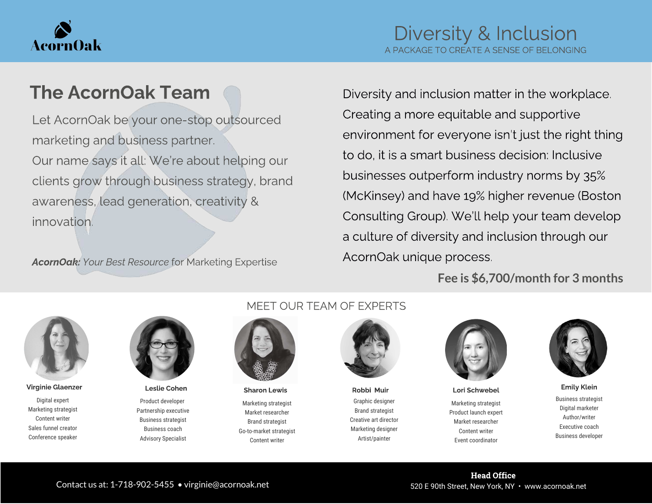

### The AcornOak Team

Let AcornOak be your one-stop outsourced Our name says it all: We're about helping our clients grow through business strategy, brand clients grow through business strategy, brands awareness, lead generation, creativity &

AcornOak: Your Best Resource for Marketing Expertise

Diversity and inclusion matter in the workplace.<br>Creating a more equitable and supportive Creating a more equitable and supportive environment for everyone isn't just the right thing to do, it is a smart business decision: Inclusive<br>businesses outperform industry norms by 35% (McKinsey) and have 19% higher revenue (Boston Consulting Group). We'll help your team develop Consulting Group). We'll help your team develop a culture of diversity and inclusion through our AcornOak unique process.

**Fee is \$6,700/month for 3 months**



Digital expert Marketing strategist Content writer Sales funnel creator Conference speaker



Product developer Partnership executive Business strategist Business coach Advisory Specialist

#### MEET OUR TEAM OF EXPERTS



Marketing strategist Market researcher Brand strategist Go-to-market strategist Content writer

Graphic designer Brand strategist Creative art director Marketing designer Artist/painter



Marketing strategist Product launch expert Market researcher Content writer Event coordinator Virginie Glaenzer Leslie Cohen Sharon Lewis Robbi Muir Lori Schwebel Emily Klein



Business strategist Digital marketer Author/writer Executive coach Business developer